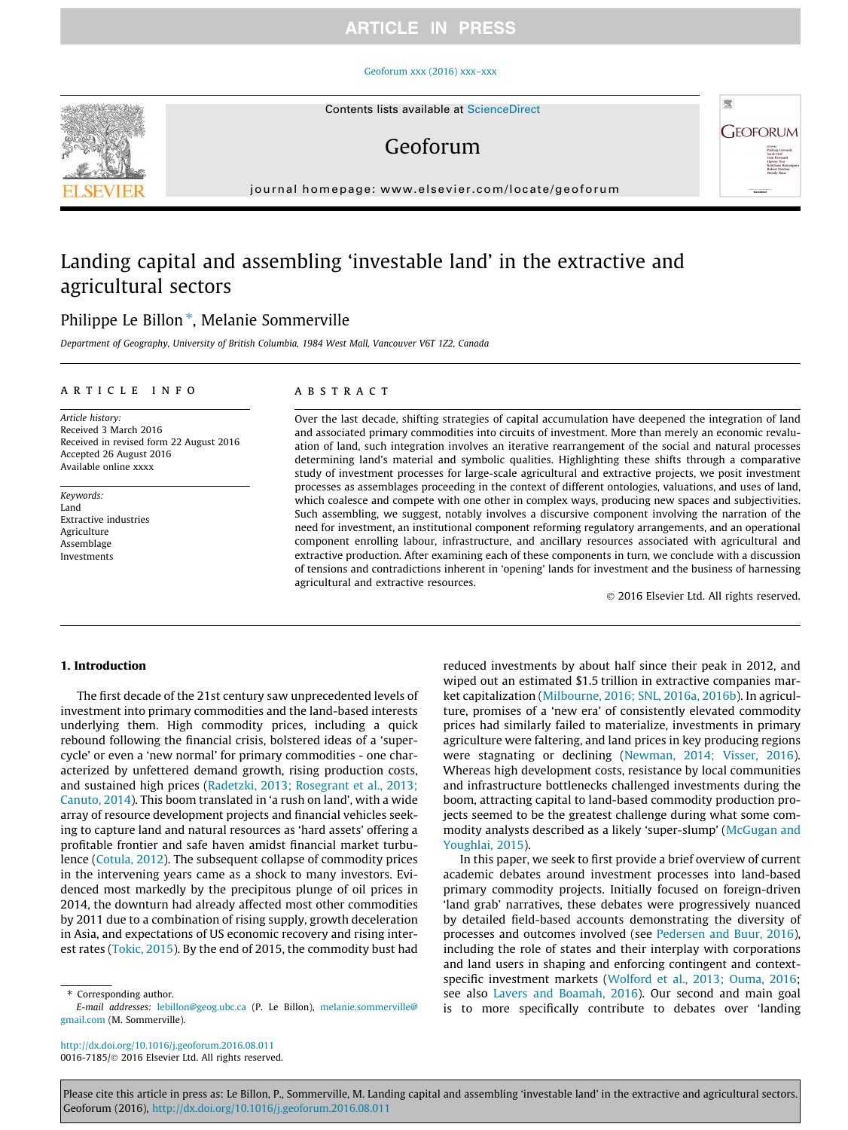## **ARTICLE IN PRESS**

#### [Geoforum xxx \(2016\) xxx–xxx](http://dx.doi.org/10.1016/j.geoforum.2016.08.011)

## Geoforum

journal homepage: [www.elsevier.com/locate/geoforum](http://www.elsevier.com/locate/geoforum)

# Landing capital and assembling 'investable land' in the extractive and agricultural sectors

## Philippe Le Billon<sup>\*</sup>, Melanie Sommerville

Department of Geography, University of British Columbia, 1984 West Mall, Vancouver V6T 1Z2, Canada

#### article info

Article history: Received 3 March 2016 Received in revised form 22 August 2016 Accepted 26 August 2016 Available online xxxx

Keywords: Land Extractive industries Agriculture Assemblage Investments

## ABSTRACT

Over the last decade, shifting strategies of capital accumulation have deepened the integration of land and associated primary commodities into circuits of investment. More than merely an economic revaluation of land, such integration involves an iterative rearrangement of the social and natural processes determining land's material and symbolic qualities. Highlighting these shifts through a comparative study of investment processes for large-scale agricultural and extractive projects, we posit investment processes as assemblages proceeding in the context of different ontologies, valuations, and uses of land, which coalesce and compete with one other in complex ways, producing new spaces and subjectivities. Such assembling, we suggest, notably involves a discursive component involving the narration of the need for investment, an institutional component reforming regulatory arrangements, and an operational component enrolling labour, infrastructure, and ancillary resources associated with agricultural and extractive production. After examining each of these components in turn, we conclude with a discussion of tensions and contradictions inherent in 'opening' lands for investment and the business of harnessing agricultural and extractive resources.

2016 Elsevier Ltd. All rights reserved.

壓

**GEOFORUM** 

## 1. Introduction

The first decade of the 21st century saw unprecedented levels of investment into primary commodities and the land-based interests underlying them. High commodity prices, including a quick rebound following the financial crisis, bolstered ideas of a 'supercycle' or even a 'new normal' for primary commodities - one characterized by unfettered demand growth, rising production costs, and sustained high prices (Radetzki, 2013; Rosegrant et al., 2013; Canuto, 2014). This boom translated in 'a rush on land', with a wide array of resource development projects and financial vehicles seeking to capture land and natural resources as 'hard assets' offering a profitable frontier and safe haven amidst financial market turbulence (Cotula, 2012). The subsequent collapse of commodity prices in the intervening years came as a shock to many investors. Evidenced most markedly by the precipitous plunge of oil prices in 2014, the downturn had already affected most other commodities by 2011 due to a combination of rising supply, growth deceleration in Asia, and expectations of US economic recovery and rising interest rates (Tokic, 2015). By the end of 2015, the commodity bust had

Corresponding author.

<http://dx.doi.org/10.1016/j.geoforum.2016.08.011> 0016-7185/© 2016 Elsevier Ltd. All rights reserved. reduced investments by about half since their peak in 2012, and wiped out an estimated \$1.5 trillion in extractive companies market capitalization (Milbourne, 2016; SNL, 2016a, 2016b). In agriculture, promises of a 'new era' of consistently elevated commodity prices had similarly failed to materialize, investments in primary agriculture were faltering, and land prices in key producing regions were stagnating or declining (Newman, 2014; Visser, 2016). Whereas high development costs, resistance by local communities and infrastructure bottlenecks challenged investments during the boom, attracting capital to land-based commodity production projects seemed to be the greatest challenge during what some commodity analysts described as a likely 'super-slump' (McGugan and Youghlai, 2015).

In this paper, we seek to first provide a brief overview of current academic debates around investment processes into land-based primary commodity projects. Initially focused on foreign-driven 'land grab' narratives, these debates were progressively nuanced by detailed field-based accounts demonstrating the diversity of processes and outcomes involved (see Pedersen and Buur, 2016), including the role of states and their interplay with corporations and land users in shaping and enforcing contingent and contextspecific investment markets (Wolford et al., 2013; Ouma, 2016; see also Lavers and Boamah, 2016). Our second and main goal is to more specifically contribute to debates over 'landing

Please cite this article in press as: Le Billon, P., Sommerville, M. Landing capital and assembling 'investable land' in the extractive and agricultural sectors. Geoforum (2016), <http://dx.doi.org/10.1016/j.geoforum.2016.08.011>



E-mail addresses: [lebillon@geog.ubc.ca](mailto:lebillon@geog.ubc.ca) (P. Le Billon), [melanie.sommerville@](mailto:melanie.sommerville@gmail.com) [gmail.com](mailto:melanie.sommerville@gmail.com) (M. Sommerville).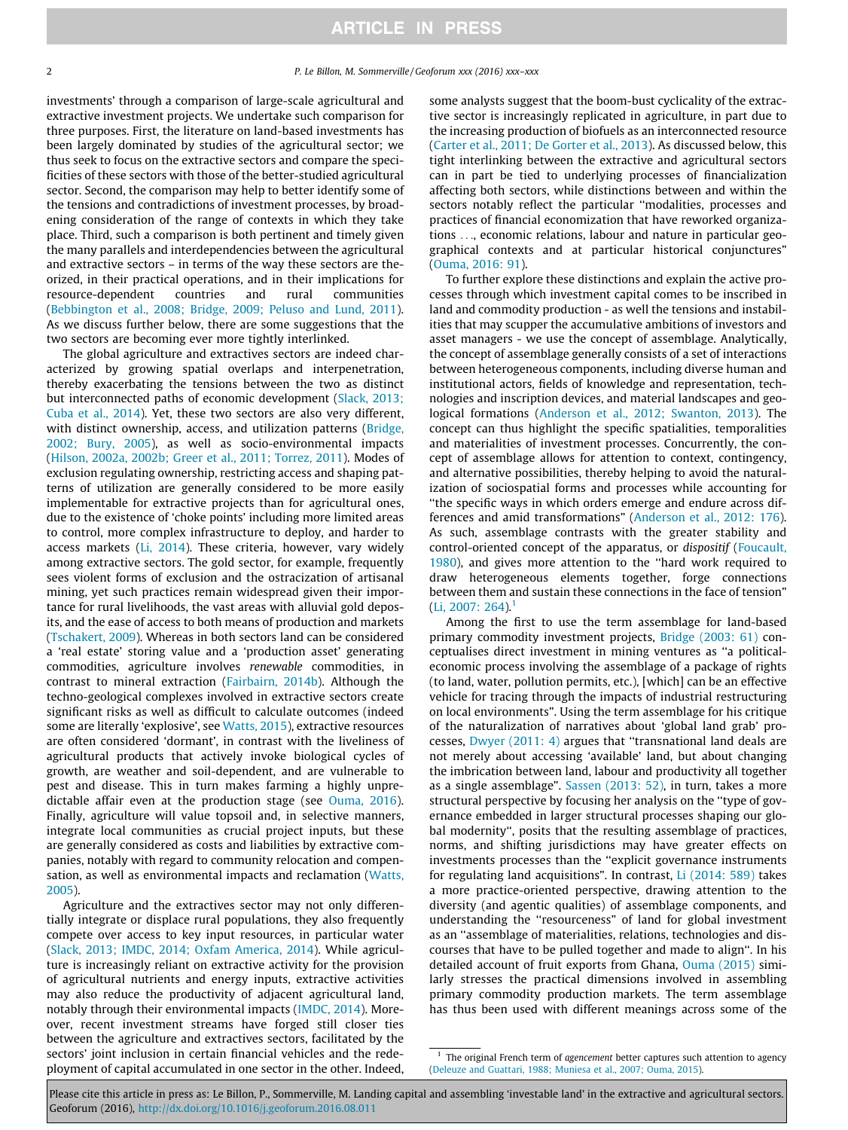investments' through a comparison of large-scale agricultural and extractive investment projects. We undertake such comparison for three purposes. First, the literature on land-based investments has been largely dominated by studies of the agricultural sector; we thus seek to focus on the extractive sectors and compare the specificities of these sectors with those of the better-studied agricultural sector. Second, the comparison may help to better identify some of the tensions and contradictions of investment processes, by broadening consideration of the range of contexts in which they take place. Third, such a comparison is both pertinent and timely given the many parallels and interdependencies between the agricultural and extractive sectors – in terms of the way these sectors are theorized, in their practical operations, and in their implications for resource-dependent countries and rural communities (Bebbington et al., 2008; Bridge, 2009; Peluso and Lund, 2011). As we discuss further below, there are some suggestions that the two sectors are becoming ever more tightly interlinked.

The global agriculture and extractives sectors are indeed characterized by growing spatial overlaps and interpenetration, thereby exacerbating the tensions between the two as distinct but interconnected paths of economic development (Slack, 2013; Cuba et al., 2014). Yet, these two sectors are also very different, with distinct ownership, access, and utilization patterns (Bridge, 2002; Bury, 2005), as well as socio-environmental impacts (Hilson, 2002a, 2002b; Greer et al., 2011; Torrez, 2011). Modes of exclusion regulating ownership, restricting access and shaping patterns of utilization are generally considered to be more easily implementable for extractive projects than for agricultural ones, due to the existence of 'choke points' including more limited areas to control, more complex infrastructure to deploy, and harder to access markets (Li, 2014). These criteria, however, vary widely among extractive sectors. The gold sector, for example, frequently sees violent forms of exclusion and the ostracization of artisanal mining, yet such practices remain widespread given their importance for rural livelihoods, the vast areas with alluvial gold deposits, and the ease of access to both means of production and markets (Tschakert, 2009). Whereas in both sectors land can be considered a 'real estate' storing value and a 'production asset' generating commodities, agriculture involves renewable commodities, in contrast to mineral extraction (Fairbairn, 2014b). Although the techno-geological complexes involved in extractive sectors create significant risks as well as difficult to calculate outcomes (indeed some are literally 'explosive', see Watts, 2015), extractive resources are often considered 'dormant', in contrast with the liveliness of agricultural products that actively invoke biological cycles of growth, are weather and soil-dependent, and are vulnerable to pest and disease. This in turn makes farming a highly unpredictable affair even at the production stage (see Ouma, 2016). Finally, agriculture will value topsoil and, in selective manners, integrate local communities as crucial project inputs, but these are generally considered as costs and liabilities by extractive companies, notably with regard to community relocation and compensation, as well as environmental impacts and reclamation (Watts, 2005).

Agriculture and the extractives sector may not only differentially integrate or displace rural populations, they also frequently compete over access to key input resources, in particular water (Slack, 2013; IMDC, 2014; Oxfam America, 2014). While agriculture is increasingly reliant on extractive activity for the provision of agricultural nutrients and energy inputs, extractive activities may also reduce the productivity of adjacent agricultural land, notably through their environmental impacts (IMDC, 2014). Moreover, recent investment streams have forged still closer ties between the agriculture and extractives sectors, facilitated by the sectors' joint inclusion in certain financial vehicles and the redeployment of capital accumulated in one sector in the other. Indeed,

some analysts suggest that the boom-bust cyclicality of the extractive sector is increasingly replicated in agriculture, in part due to the increasing production of biofuels as an interconnected resource (Carter et al., 2011; De Gorter et al., 2013). As discussed below, this tight interlinking between the extractive and agricultural sectors can in part be tied to underlying processes of financialization affecting both sectors, while distinctions between and within the sectors notably reflect the particular ''modalities, processes and practices of financial economization that have reworked organizations ..., economic relations, labour and nature in particular geographical contexts and at particular historical conjunctures" (Ouma, 2016: 91).

To further explore these distinctions and explain the active processes through which investment capital comes to be inscribed in land and commodity production - as well the tensions and instabilities that may scupper the accumulative ambitions of investors and asset managers - we use the concept of assemblage. Analytically, the concept of assemblage generally consists of a set of interactions between heterogeneous components, including diverse human and institutional actors, fields of knowledge and representation, technologies and inscription devices, and material landscapes and geological formations (Anderson et al., 2012; Swanton, 2013). The concept can thus highlight the specific spatialities, temporalities and materialities of investment processes. Concurrently, the concept of assemblage allows for attention to context, contingency, and alternative possibilities, thereby helping to avoid the naturalization of sociospatial forms and processes while accounting for ''the specific ways in which orders emerge and endure across differences and amid transformations" (Anderson et al., 2012: 176). As such, assemblage contrasts with the greater stability and control-oriented concept of the apparatus, or dispositif (Foucault, 1980), and gives more attention to the ''hard work required to draw heterogeneous elements together, forge connections between them and sustain these connections in the face of tension"  $(Li, 2007: 264).$ <sup>1</sup>

Among the first to use the term assemblage for land-based primary commodity investment projects, Bridge (2003: 61) conceptualises direct investment in mining ventures as ''a politicaleconomic process involving the assemblage of a package of rights (to land, water, pollution permits, etc.), [which] can be an effective vehicle for tracing through the impacts of industrial restructuring on local environments". Using the term assemblage for his critique of the naturalization of narratives about 'global land grab' processes, Dwyer (2011: 4) argues that ''transnational land deals are not merely about accessing 'available' land, but about changing the imbrication between land, labour and productivity all together as a single assemblage". Sassen (2013: 52), in turn, takes a more structural perspective by focusing her analysis on the ''type of governance embedded in larger structural processes shaping our global modernity'', posits that the resulting assemblage of practices, norms, and shifting jurisdictions may have greater effects on investments processes than the ''explicit governance instruments for regulating land acquisitions". In contrast, Li (2014: 589) takes a more practice-oriented perspective, drawing attention to the diversity (and agentic qualities) of assemblage components, and understanding the ''resourceness" of land for global investment as an ''assemblage of materialities, relations, technologies and discourses that have to be pulled together and made to align''. In his detailed account of fruit exports from Ghana, Ouma (2015) similarly stresses the practical dimensions involved in assembling primary commodity production markets. The term assemblage has thus been used with different meanings across some of the

Please cite this article in press as: Le Billon, P., Sommerville, M. Landing capital and assembling 'investable land' in the extractive and agricultural sectors. Geoforum (2016), <http://dx.doi.org/10.1016/j.geoforum.2016.08.011>

 $1$  The original French term of agencement better captures such attention to agency (Deleuze and Guattari, 1988; Muniesa et al., 2007; Ouma, 2015).